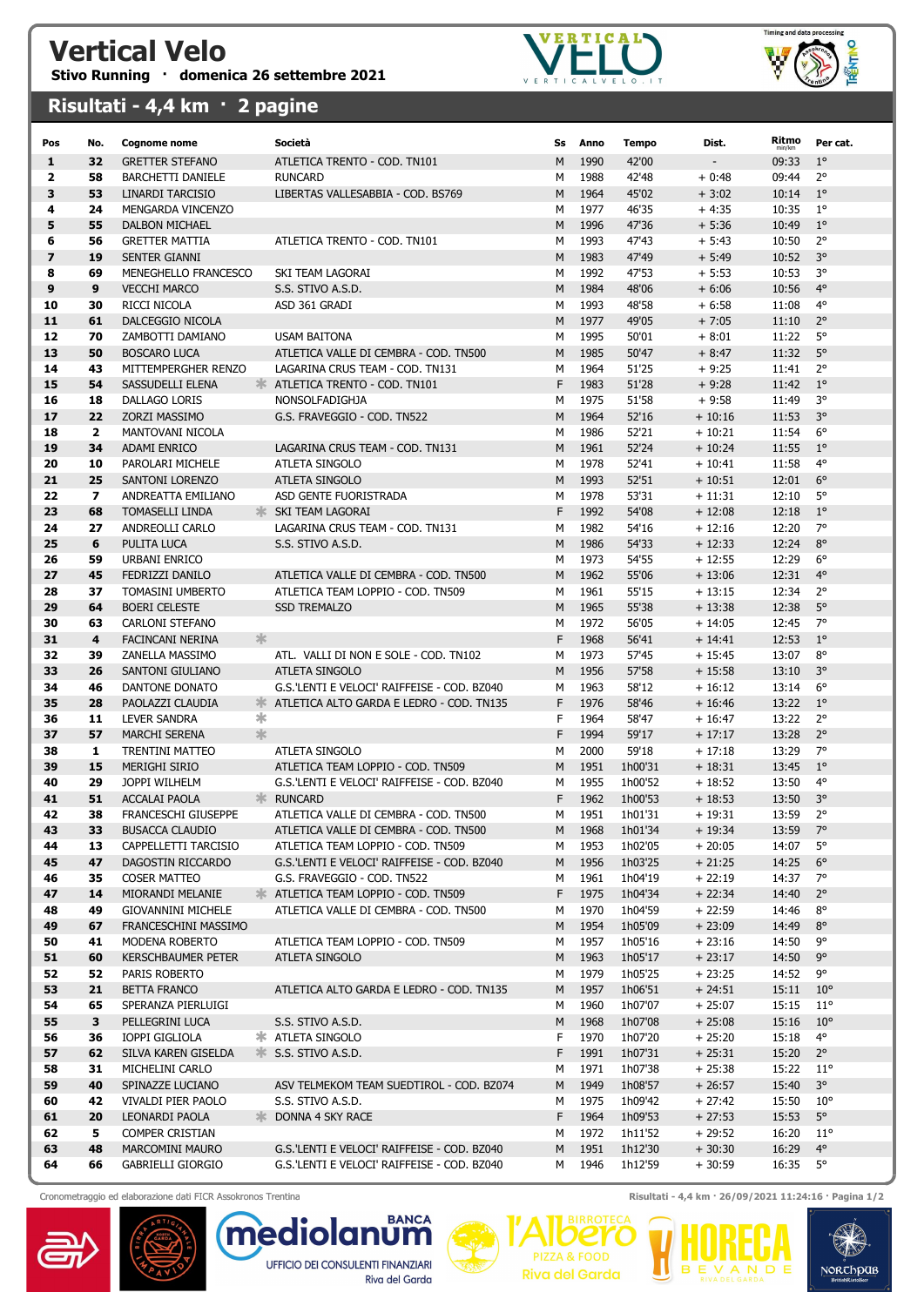## Vertical Velo Stivo Running · domenica 26 settembre 2021





## Risultati - 4,4 km · 2 pagine

| Pos                     | No.            | <b>Cognome nome</b>                    |               | Società                                                       | Ss     | Anno         | <b>Tempo</b>       | Dist.                | Ritmo<br>min/km | Per cat.                    |
|-------------------------|----------------|----------------------------------------|---------------|---------------------------------------------------------------|--------|--------------|--------------------|----------------------|-----------------|-----------------------------|
| 1                       | 32             | <b>GRETTER STEFANO</b>                 |               | ATLETICA TRENTO - COD. TN101                                  | M      | 1990         | 42'00              |                      | 09:33           | $1^{\circ}$                 |
| 2                       | 58             | BARCHETTI DANIELE                      |               | <b>RUNCARD</b>                                                | M      | 1988         | 42'48              | $+0:48$              | 09:44           | $2^{\circ}$                 |
| 3                       | 53             | LINARDI TARCISIO                       |               | LIBERTAS VALLESABBIA - COD. BS769                             | M      | 1964         | 45'02              | $+3:02$              | 10:14           | $1^{\circ}$                 |
| 4                       | 24             | MENGARDA VINCENZO                      |               |                                                               | м      | 1977         | 46'35              | $+4:35$              | 10:35           | $1^{\circ}$                 |
| 5                       | 55             | <b>DALBON MICHAEL</b>                  |               |                                                               | M      | 1996         | 47'36              | $+5:36$              | 10:49           | $1^{\circ}$                 |
| 6                       | 56             | <b>GRETTER MATTIA</b>                  |               | ATLETICA TRENTO - COD. TN101                                  | М      | 1993         | 47'43              | $+ 5:43$             | 10:50           | $2^{\circ}$                 |
| $\overline{\mathbf{z}}$ | 19             | SENTER GIANNI                          |               |                                                               | M      | 1983         | 47'49              | $+ 5:49$             | 10:52           | $3^{\circ}$                 |
| 8                       | 69             | MENEGHELLO FRANCESCO                   |               | SKI TEAM LAGORAI                                              | M      | 1992         | 47'53              | $+ 5:53$             | 10:53           | 3°                          |
| 9                       | 9              | <b>VECCHI MARCO</b>                    |               | S.S. STIVO A.S.D.                                             | M      | 1984         | 48'06              | $+6:06$              | 10:56           | $4^\circ$                   |
| 10                      | 30             | RICCI NICOLA                           |               | ASD 361 GRADI                                                 | M      | 1993         | 48'58              | $+6:58$              | 11:08           | $4^\circ$                   |
| 11                      | 61             | DALCEGGIO NICOLA                       |               |                                                               | M      | 1977         | 49'05              | $+7:05$              | 11:10           | $2^{\circ}$                 |
| 12                      | 70             | ZAMBOTTI DAMIANO                       |               | <b>USAM BAITONA</b>                                           | M      | 1995         | 50'01              | $+8:01$              | 11:22           | $5^\circ$                   |
| 13                      | 50             | <b>BOSCARO LUCA</b>                    |               | ATLETICA VALLE DI CEMBRA - COD. TN500                         | M      | 1985         | 50'47              | $+8:47$              | 11:32           | $5^\circ$                   |
| 14                      | 43             | MITTEMPERGHER RENZO                    |               | LAGARINA CRUS TEAM - COD. TN131                               | м      | 1964         | 51'25              | $+9:25$              | 11:41           | $2^{\circ}$                 |
| 15                      | 54             | SASSUDELLI ELENA                       | $\frac{1}{2}$ | ATLETICA TRENTO - COD. TN101                                  | F      | 1983         | 51'28              | $+9:28$              | 11:42           | $1^{\circ}$                 |
| 16                      | 18             | DALLAGO LORIS                          |               | NONSOLFADIGHJA                                                | M      | 1975         | 51'58              | $+9:58$              | 11:49           | 3°                          |
| 17                      | 22             | ZORZI MASSIMO                          |               | G.S. FRAVEGGIO - COD. TN522                                   | M      | 1964         | 52'16              | $+10:16$             | 11:53           | $3^{\circ}$                 |
| 18                      | $\overline{2}$ | MANTOVANI NICOLA                       |               |                                                               | м      | 1986         | 52'21              | $+10:21$             | 11:54           | $6^{\circ}$                 |
| 19                      | 34             | <b>ADAMI ENRICO</b>                    |               | LAGARINA CRUS TEAM - COD. TN131                               | M      | 1961         | 52'24              | $+10:24$             | 11:55           | $1^{\circ}$                 |
| 20                      | 10             | PAROLARI MICHELE                       |               | ATLETA SINGOLO                                                | М      | 1978         | 52'41              | $+10:41$             | 11:58           | $4^{\circ}$                 |
| 21                      | 25             | <b>SANTONI LORENZO</b>                 |               | <b>ATLETA SINGOLO</b>                                         | M      | 1993         | 52'51              | $+10:51$             | 12:01           | $6^{\circ}$                 |
| 22                      | $\mathbf{z}$   | ANDREATTA EMILIANO                     |               | ASD GENTE FUORISTRADA                                         | М      | 1978         | 53'31              | $+11:31$             | 12:10           | $5^\circ$                   |
| 23                      | 68             | <b>TOMASELLI LINDA</b>                 |               | <b>SKI TEAM LAGORAI</b>                                       | F      | 1992         | 54'08              | $+12:08$             | 12:18           | $1^{\circ}$                 |
| 24                      | 27             | ANDREOLLI CARLO                        |               | LAGARINA CRUS TEAM - COD. TN131                               | M      | 1982         | 54'16              | $+12:16$             | 12:20           | $7^\circ$                   |
| 25                      | 6              | <b>PULITA LUCA</b>                     |               | S.S. STIVO A.S.D.                                             | M      | 1986         | 54'33              | $+12:33$             | 12:24           | $8^{\circ}$                 |
| 26                      | 59             | URBANI ENRICO                          |               |                                                               | М      | 1973         | 54'55              | $+12:55$             | 12:29           | $6^{\circ}$                 |
| 27                      | 45             | FEDRIZZI DANILO                        |               | ATLETICA VALLE DI CEMBRA - COD. TN500                         | M      | 1962         | 55'06              | $+13:06$             | 12:31           | $4^\circ$                   |
| 28                      | 37             | TOMASINI UMBERTO                       |               | ATLETICA TEAM LOPPIO - COD. TN509                             | м      | 1961         | 55'15              | $+13:15$             | 12:34           | $2^{\circ}$                 |
| 29                      | 64             | <b>BOERI CELESTE</b>                   |               | <b>SSD TREMALZO</b>                                           | M      | 1965         | 55'38              | $+13:38$             | 12:38           | $5^\circ$                   |
| 30                      | 63             | <b>CARLONI STEFANO</b>                 |               |                                                               | M      | 1972         | 56'05              | $+14:05$             | 12:45           | $7^\circ$                   |
| 31                      | 4              | FACINCANI NERINA                       | 氺             |                                                               | F      | 1968         | 56'41              | $+ 14:41$            | 12:53           | $1^{\circ}$                 |
| 32                      | 39             | ZANELLA MASSIMO                        |               | ATL. VALLI DI NON E SOLE - COD. TN102                         | М      | 1973         | 57'45              | $+15:45$             | 13:07           | $8^{\circ}$                 |
| 33                      | 26             | SANTONI GIULIANO                       |               | <b>ATLETA SINGOLO</b>                                         | M      | 1956         | 57'58              | $+15:58$             | 13:10           | $3^{\circ}$                 |
| 34                      | 46             | DANTONE DONATO                         |               | G.S.'LENTI E VELOCI' RAIFFEISE - COD. BZ040                   | м      | 1963         | 58'12              | $+16:12$             | 13:14           | $6^{\circ}$                 |
| 35                      | 28             | PAOLAZZI CLAUDIA                       |               | <b>X ATLETICA ALTO GARDA E LEDRO - COD. TN135</b>             | F      | 1976         | 58'46              | $+16:46$             | 13:22           | $1^{\circ}$                 |
| 36                      | 11             | LEVER SANDRA                           | ∗             |                                                               | F      | 1964         | 58'47              | $+16:47$             | 13:22           | $2^{\circ}$                 |
| 37                      | 57             | <b>MARCHI SERENA</b>                   | $\frac{1}{2}$ |                                                               | F      | 1994         | 59'17              | $+17:17$             | 13:28           | $2^{\circ}$                 |
| 38                      | 1              | TRENTINI MATTEO                        |               | ATLETA SINGOLO                                                | М      | 2000         | 59'18              | $+17:18$             | 13:29           | 7°                          |
| 39                      | 15             | <b>MERIGHI SIRIO</b>                   |               | ATLETICA TEAM LOPPIO - COD. TN509                             | M      | 1951         | 1h00'31            | $+18:31$             | 13:45           | $1^{\circ}$                 |
| 40                      | 29             | JOPPI WILHELM                          |               | G.S.'LENTI E VELOCI' RAIFFEISE - COD. BZ040                   | М      | 1955         | 1h00'52            | $+18:52$             | 13:50           | $4^{\circ}$                 |
| 41                      | 51             | <b>ACCALAI PAOLA</b>                   |               | <b>K</b> RUNCARD                                              | F      | 1962         | 1h00'53            | $+18:53$             | 13:50           | $3^{\circ}$                 |
| 42                      | 38             | FRANCESCHI GIUSEPPE                    |               | ATLETICA VALLE DI CEMBRA - COD. TN500                         | М      | 1951         | 1h01'31            | $+19:31$             | 13:59           | $2^{\circ}$                 |
| 43                      | 33             | <b>BUSACCA CLAUDIO</b>                 |               | ATLETICA VALLE DI CEMBRA - COD. TN500                         | M      | 1968         | 1h01'34            | $+19:34$             | 13:59           | $7^\circ$                   |
| 44                      | 13             | CAPPELLETTI TARCISIO                   |               | ATLETICA TEAM LOPPIO - COD. TN509                             | м      | 1953         | 1h02'05            | $+20:05$             | 14:07           | $5^\circ$                   |
| 45                      | 47             | DAGOSTIN RICCARDO                      |               | G.S.'LENTI E VELOCI' RAIFFEISE - COD. BZ040                   | М      | 1956         | 1h03'25            | $+21:25$             | 14:25           | $6^{\circ}$                 |
| 46                      | 35             | <b>COSER MATTEO</b>                    |               | G.S. FRAVEGGIO - COD. TN522                                   | М      | 1961         | 1h04'19            | $+22:19$             | 14:37           | 7°                          |
| 47                      | 14             | MIORANDI MELANIE                       |               | <b>* ATLETICA TEAM LOPPIO - COD. TN509</b>                    | F      | 1975         | 1h04'34            | $+22:34$             | 14:40           | $2^{\circ}$                 |
| 48                      | 49             | <b>GIOVANNINI MICHELE</b>              |               | ATLETICA VALLE DI CEMBRA - COD. TN500                         | М      | 1970         | 1h04'59            | $+22:59$             | 14:46           | $8^{\circ}$                 |
| 49                      | 67             | FRANCESCHINI MASSIMO                   |               |                                                               | M      | 1954         | 1h05'09            | $+23:09$             | 14:49           | $8^{\circ}$                 |
| 50                      | 41             | MODENA ROBERTO                         |               | ATLETICA TEAM LOPPIO - COD. TN509                             | M      | 1957         | 1h05'16            | $+23:16$             | 14:50           | 9°                          |
| 51                      | 60             | <b>KERSCHBAUMER PETER</b>              |               | ATLETA SINGOLO                                                | M      | 1963         | 1h05'17            | $+23:17$             | 14:50           | $9^{\circ}$                 |
| 52                      | 52             | PARIS ROBERTO                          |               |                                                               | М      | 1979         | 1h05'25            | $+23:25$             | 14:52           | 9°                          |
| 53                      | 21             | <b>BETTA FRANCO</b>                    |               | ATLETICA ALTO GARDA E LEDRO - COD. TN135                      | M      | 1957         | 1h06'51            | $+24:51$             | 15:11           | $10^{\circ}$                |
| 54                      | 65             | SPERANZA PIERLUIGI                     |               |                                                               | М      | 1960         | 1h07'07            | $+25:07$             | 15:15           | $11^{\circ}$                |
| 55                      | 3              | PELLEGRINI LUCA                        |               | S.S. STIVO A.S.D.                                             | М      | 1968         | 1h07'08            | $+25:08$             | 15:16           | $10^{\circ}$                |
| 56                      | 36             | IOPPI GIGLIOLA                         |               | <b>* ATLETA SINGOLO</b>                                       | F      | 1970         | 1h07'20            | $+25:20$             | 15:18           | $4^{\circ}$                 |
| 57                      | 62             | SILVA KAREN GISELDA                    | ≯া⊱           | S.S. STIVO A.S.D.                                             | F      | 1991         | 1h07'31            | $+25:31$             | 15:20           | $2^{\circ}$                 |
| 58                      | 31             | MICHELINI CARLO                        |               |                                                               | М      | 1971         | 1h07'38            | $+25:38$             | 15:22           | $11^{\circ}$                |
| 59<br>60                | 40<br>42       | SPINAZZE LUCIANO<br>VIVALDI PIER PAOLO |               | ASV TELMEKOM TEAM SUEDTIROL - COD. BZ074<br>S.S. STIVO A.S.D. | M<br>М | 1949<br>1975 | 1h08'57<br>1h09'42 | $+26:57$<br>$+27:42$ | 15:40<br>15:50  | $3^{\circ}$<br>$10^{\circ}$ |
| 61                      | 20             | LEONARDI PAOLA                         |               | <b>EXAMPLE 25 DONNA 4 SKY RACE</b>                            | F      | 1964         | 1h09'53            | $+27:53$             | 15:53           | $5^{\circ}$                 |
| 62                      | 5              | COMPER CRISTIAN                        |               |                                                               | М      | 1972         | 1h11'52            | $+29:52$             | 16:20           | $11^{\circ}$                |
| 63                      | 48             | MARCOMINI MAURO                        |               | G.S.'LENTI E VELOCI' RAIFFEISE - COD. BZ040                   | M      | 1951         | 1h12'30            | $+30:30$             | 16:29           | $4^{\circ}$                 |
| 64                      | 66             | GABRIELLI GIORGIO                      |               | G.S.'LENTI E VELOCI' RAIFFEISE - COD. BZ040                   | м      | 1946         | 1h12'59            | $+30:59$             | 16:35           | 5°                          |
|                         |                |                                        |               |                                                               |        |              |                    |                      |                 |                             |





Cronometraggio ed elaborazione dati FICR Assokronos Trentina **Risultati - 4,4 km · 26/09/2021 11:24:16 · Pagina 1/2** 

**PIZZA & FOOD** 

**Riva del Garda** 

ÓK

NORCHOUB